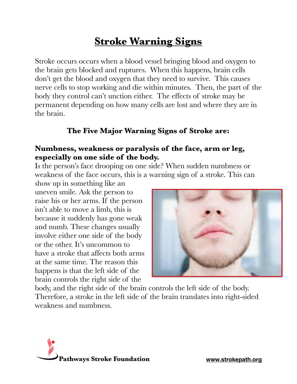# **Stroke Warning Signs**

Stroke occurs occurs when a blood vessel bringing blood and oxygen to the brain gets blocked and ruptures. When this happens, brain cells don't get the blood and oxygen that they need to survive. This causes nerve cells to stop working and die within minutes. Then, the part of the body they control can't unction either. The effects of stroke may be permanent depending on how many cells are lost and where they are in the brain.

#### **The Five Major Warning Signs of Stroke are:**

#### **Numbness, weakness or paralysis of the face, arm or leg, especially on one side of the body.**

Is the person's face drooping on one side? When sudden numbness or weakness of the face occurs, this is a warning sign of a stroke. This can

show up in something like an uneven smile. Ask the person to raise his or her arms. If the person isn't able to move a limb, this is because it suddenly has gone weak and numb. These changes usually involve either one side of the body or the other. It's uncommon to have a stroke that affects both arms at the same time. The reason this happens is that the left side of the brain controls the right side of the



body, and the right side of the brain controls the left side of the body. Therefore, a stroke in the left side of the brain translates into right-sided weakness and numbness.

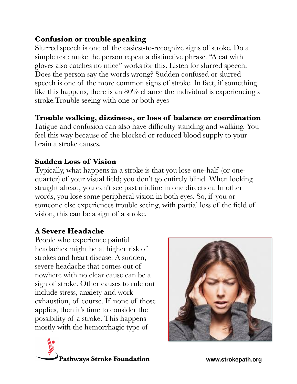## **Confusion or trouble speaking**

Slurred speech is one of the easiest-to-recognize signs of stroke. Do a simple test: make the person repeat a distinctive phrase. "A cat with gloves also catches no mice" works for this. Listen for slurred speech. Does the person say the words wrong? Sudden confused or slurred speech is one of the more common signs of stroke. In fact, if something like this happens, there is an 80% chance the individual is experiencing a stroke.Trouble seeing with one or both eyes

## **Trouble walking, dizziness, or loss of balance or coordination**

Fatigue and confusion can also have difficulty standing and walking. You feel this way because of the blocked or reduced blood supply to your brain a stroke causes.

#### **Sudden Loss of Vision**

Typically, what happens in a stroke is that you lose one-half (or onequarter) of your visual field; you don't go entirely blind. When looking straight ahead, you can't see past midline in one direction. In other words, you lose some peripheral vision in both eyes. So, if you or someone else experiences trouble seeing, with partial loss of the field of vision, this can be a sign of a stroke.

## **A Severe Headache**

People who experience painful headaches might be at higher risk of strokes and heart disease. A sudden, severe headache that comes out of nowhere with no clear cause can be a sign of stroke. Other causes to rule out include stress, anxiety and work exhaustion, of course. If none of those applies, then it's time to consider the possibility of a stroke. This happens mostly with the hemorrhagic type of